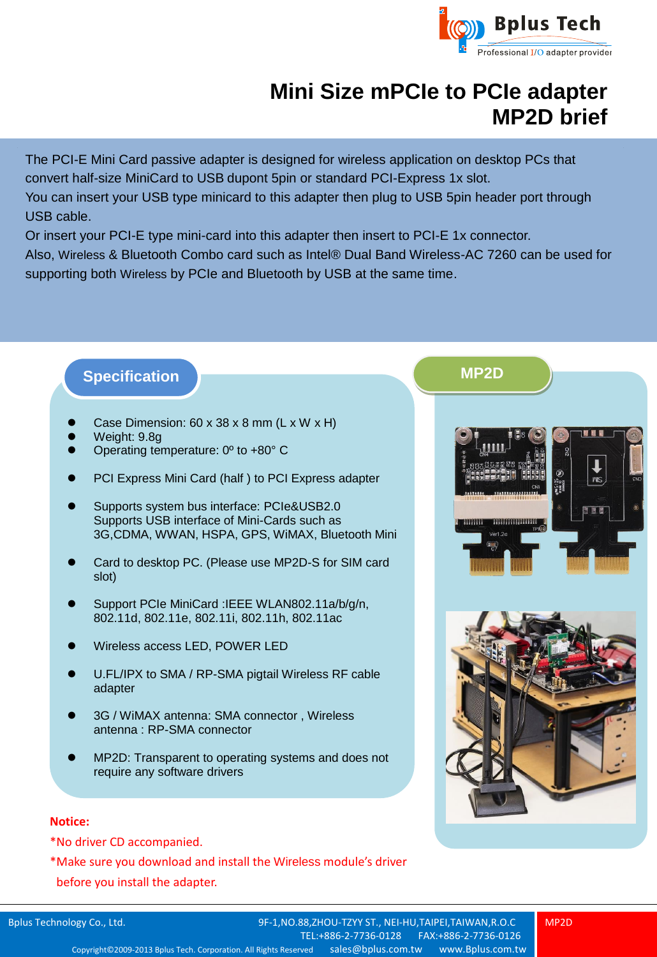

## **Mini Size mPCIe to PCIe adapter MP2D brief**

The PCI-E Mini Card passive adapter is designed for wireless application on desktop PCs that convert half-size MiniCard to USB dupont 5pin or standard PCI-Express 1x slot.

You can insert your USB type minicard to this adapter then plug to USB 5pin header port through USB cable.

Or insert your PCI-E type mini-card into this adapter then insert to PCI-E 1x connector.

Also, Wireless & Bluetooth Combo card such as Intel® Dual Band Wireless-AC 7260 can be used for supporting both Wireless by PCIe and Bluetooth by USB at the same time.

## **Specification MP2D**

- Case Dimension: 60 x 38 x 8 mm (L x W x H)
- Weight: 9.8g
- Operating temperature: 0º to +80° C
- PCI Express Mini Card (half ) to PCI Express adapter
- Supports system bus interface: PCIe&USB2.0 Supports USB interface of Mini-Cards such as 3G,CDMA, WWAN, HSPA, GPS, WiMAX, Bluetooth Mini
- Card to desktop PC. (Please use MP2D-S for SIM card slot)
- Support PCIe MiniCard :IEEE WLAN802.11a/b/g/n, 802.11d, 802.11e, 802.11i, 802.11h, 802.11ac
- Wireless access LED, POWER LED
- U.FL/IPX to SMA / RP-SMA pigtail Wireless RF cable adapter
- 3G / WiMAX antenna: SMA connector , Wireless antenna : RP-SMA connector
- MP2D: Transparent to operating systems and does not require any software drivers

## **Notice:**

\*No driver CD accompanied.

\*Make sure you download and install the Wireless module's driver before you install the adapter.





Bplus Technology Co., Ltd. 9F-1,NO.88,ZHOU-TZYY ST., NEI-HU,TAIPEI,TAIWAN,R.O.C [TEL:+886-2-7736-0128](tel:+886-2-7736-0128) FAX:+886-2-7736-0126 Copyright© 2009-2013 Bplus Tech. Corporation. All Rights Reserved [sales@bplus.com.tw](mailto:sales@bplus.com.tw) www.Bplus.com.tw